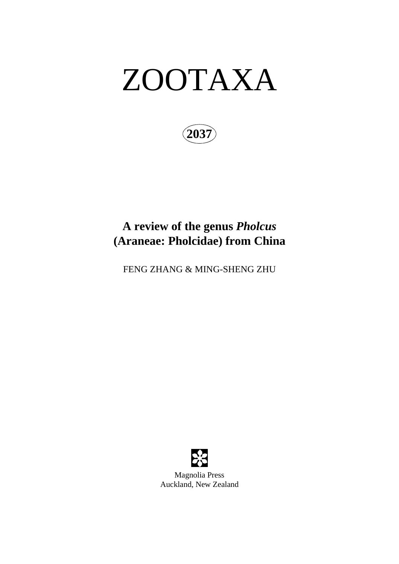# ZOOTAXA

**2037**

## **A review of the genus** *Pholcus* **(Araneae: Pholcidae) from China**

FENG ZHANG & MING-SHENG ZHU



Magnolia Press Auckland, New Zealand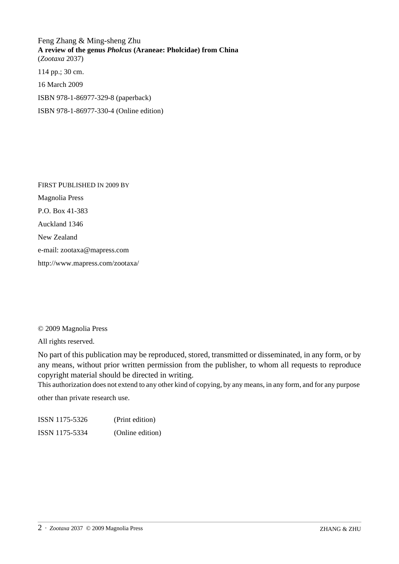Feng Zhang & Ming-sheng Zhu **A review of the genus** *Pholcus* **(Araneae: Pholcidae) from China** (*Zootaxa* 2037)

114 pp.; 30 cm.

16 March 2009

ISBN 978-1-86977-329-8 (paperback)

ISBN 978-1-86977-330-4 (Online edition)

FIRST PUBLISHED IN 2009 BY Magnolia Press P.O. Box 41-383 Auckland 1346 New Zealand e-mail: zootaxa@mapress.com http://www.mapress.com/zootaxa/

© 2009 Magnolia Press

All rights reserved.

No part of this publication may be reproduced, stored, transmitted or disseminated, in any form, or by any means, without prior written permission from the publisher, to whom all requests to reproduce copyright material should be directed in writing.

This authorization does not extend to any other kind of copying, by any means, in any form, and for any purpose

other than private research use.

ISSN 1175-5326 (Print edition) ISSN 1175-5334 (Online edition)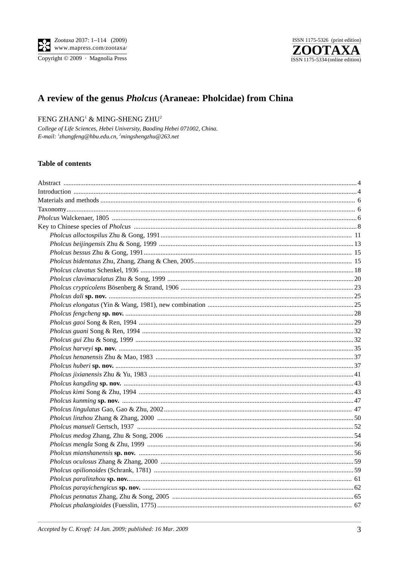



### A review of the genus *Pholcus* (Araneae: Pholcidae) from China

#### FENG ZHANG<sup>1</sup> & MING-SHENG ZHU<sup>2</sup>

College of Life Sciences, Hebei University, Baoding Hebei 071002, China. E-mail:  $^1$ zhangfeng@hbu.edu.cn,  $^2$ mingshengzhu@263.net

#### **Table of contents**